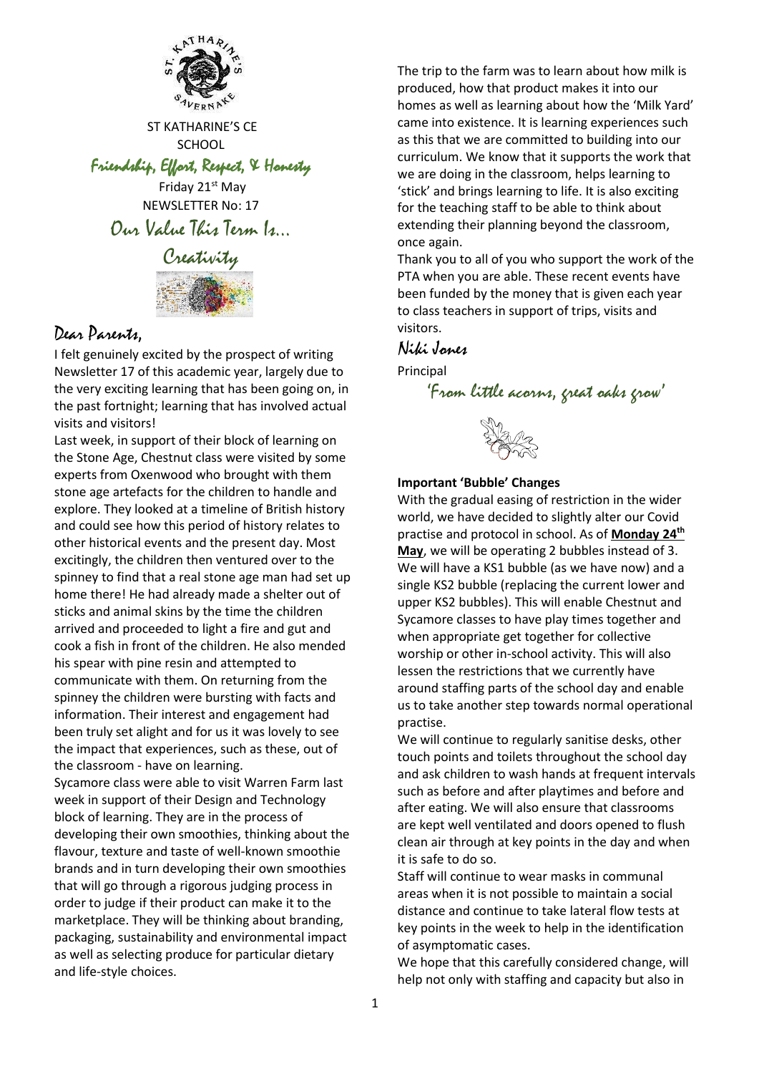

ST KATHARINE'S CE **SCHOOL** 

Friendship, Effort, Respect, & Honesty

Friday 21<sup>st</sup> May NEWSLETTER No: 17 Our Value This Term Is…



## Dear Parents,

I felt genuinely excited by the prospect of writing Newsletter 17 of this academic year, largely due to the very exciting learning that has been going on, in the past fortnight; learning that has involved actual visits and visitors!

Last week, in support of their block of learning on the Stone Age, Chestnut class were visited by some experts from Oxenwood who brought with them stone age artefacts for the children to handle and explore. They looked at a timeline of British history and could see how this period of history relates to other historical events and the present day. Most excitingly, the children then ventured over to the spinney to find that a real stone age man had set up home there! He had already made a shelter out of sticks and animal skins by the time the children arrived and proceeded to light a fire and gut and cook a fish in front of the children. He also mended his spear with pine resin and attempted to communicate with them. On returning from the spinney the children were bursting with facts and information. Their interest and engagement had been truly set alight and for us it was lovely to see the impact that experiences, such as these, out of the classroom - have on learning.

Sycamore class were able to visit Warren Farm last week in support of their Design and Technology block of learning. They are in the process of developing their own smoothies, thinking about the flavour, texture and taste of well-known smoothie brands and in turn developing their own smoothies that will go through a rigorous judging process in order to judge if their product can make it to the marketplace. They will be thinking about branding, packaging, sustainability and environmental impact as well as selecting produce for particular dietary and life-style choices.

The trip to the farm was to learn about how milk is produced, how that product makes it into our homes as well as learning about how the 'Milk Yard' came into existence. It is learning experiences such as this that we are committed to building into our curriculum. We know that it supports the work that we are doing in the classroom, helps learning to 'stick' and brings learning to life. It is also exciting for the teaching staff to be able to think about extending their planning beyond the classroom, once again.

Thank you to all of you who support the work of the PTA when you are able. These recent events have been funded by the money that is given each year to class teachers in support of trips, visits and visitors.

## Niki Jones

Principal

'From little acorns, great oaks grow'

### **Important 'Bubble' Changes**

With the gradual easing of restriction in the wider world, we have decided to slightly alter our Covid practise and protocol in school. As of **Monday 24th May**, we will be operating 2 bubbles instead of 3. We will have a KS1 bubble (as we have now) and a single KS2 bubble (replacing the current lower and upper KS2 bubbles). This will enable Chestnut and Sycamore classes to have play times together and when appropriate get together for collective worship or other in-school activity. This will also lessen the restrictions that we currently have around staffing parts of the school day and enable us to take another step towards normal operational practise.

We will continue to regularly sanitise desks, other touch points and toilets throughout the school day and ask children to wash hands at frequent intervals such as before and after playtimes and before and after eating. We will also ensure that classrooms are kept well ventilated and doors opened to flush clean air through at key points in the day and when it is safe to do so.

Staff will continue to wear masks in communal areas when it is not possible to maintain a social distance and continue to take lateral flow tests at key points in the week to help in the identification of asymptomatic cases.

We hope that this carefully considered change, will help not only with staffing and capacity but also in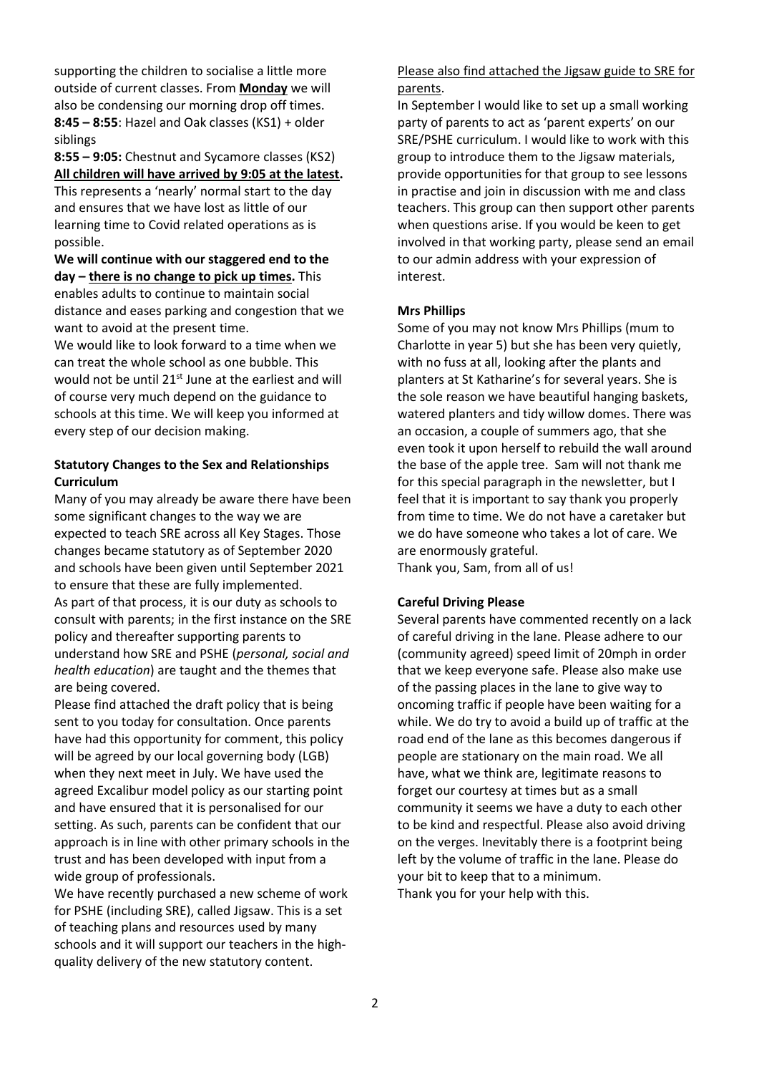supporting the children to socialise a little more outside of current classes. From **Monday** we will also be condensing our morning drop off times. **8:45 – 8:55**: Hazel and Oak classes (KS1) + older siblings

**8:55 – 9:05:** Chestnut and Sycamore classes (KS2) **All children will have arrived by 9:05 at the latest.** This represents a 'nearly' normal start to the day and ensures that we have lost as little of our learning time to Covid related operations as is

possible. **We will continue with our staggered end to the day – there is no change to pick up times.** This enables adults to continue to maintain social distance and eases parking and congestion that we want to avoid at the present time.

We would like to look forward to a time when we can treat the whole school as one bubble. This would not be until 21<sup>st</sup> June at the earliest and will of course very much depend on the guidance to schools at this time. We will keep you informed at every step of our decision making.

#### **Statutory Changes to the Sex and Relationships Curriculum**

Many of you may already be aware there have been some significant changes to the way we are expected to teach SRE across all Key Stages. Those changes became statutory as of September 2020 and schools have been given until September 2021 to ensure that these are fully implemented. As part of that process, it is our duty as schools to consult with parents; in the first instance on the SRE policy and thereafter supporting parents to understand how SRE and PSHE (*personal, social and health education*) are taught and the themes that are being covered.

Please find attached the draft policy that is being sent to you today for consultation. Once parents have had this opportunity for comment, this policy will be agreed by our local governing body (LGB) when they next meet in July. We have used the agreed Excalibur model policy as our starting point and have ensured that it is personalised for our setting. As such, parents can be confident that our approach is in line with other primary schools in the trust and has been developed with input from a wide group of professionals.

We have recently purchased a new scheme of work for PSHE (including SRE), called Jigsaw. This is a set of teaching plans and resources used by many schools and it will support our teachers in the highquality delivery of the new statutory content.

#### Please also find attached the Jigsaw guide to SRE for parents.

In September I would like to set up a small working party of parents to act as 'parent experts' on our SRE/PSHE curriculum. I would like to work with this group to introduce them to the Jigsaw materials, provide opportunities for that group to see lessons in practise and join in discussion with me and class teachers. This group can then support other parents when questions arise. If you would be keen to get involved in that working party, please send an email to our admin address with your expression of interest.

#### **Mrs Phillips**

Some of you may not know Mrs Phillips (mum to Charlotte in year 5) but she has been very quietly, with no fuss at all, looking after the plants and planters at St Katharine's for several years. She is the sole reason we have beautiful hanging baskets, watered planters and tidy willow domes. There was an occasion, a couple of summers ago, that she even took it upon herself to rebuild the wall around the base of the apple tree. Sam will not thank me for this special paragraph in the newsletter, but I feel that it is important to say thank you properly from time to time. We do not have a caretaker but we do have someone who takes a lot of care. We are enormously grateful. Thank you, Sam, from all of us!

#### **Careful Driving Please**

Several parents have commented recently on a lack of careful driving in the lane. Please adhere to our (community agreed) speed limit of 20mph in order that we keep everyone safe. Please also make use of the passing places in the lane to give way to oncoming traffic if people have been waiting for a while. We do try to avoid a build up of traffic at the road end of the lane as this becomes dangerous if people are stationary on the main road. We all have, what we think are, legitimate reasons to forget our courtesy at times but as a small community it seems we have a duty to each other to be kind and respectful. Please also avoid driving on the verges. Inevitably there is a footprint being left by the volume of traffic in the lane. Please do your bit to keep that to a minimum. Thank you for your help with this.